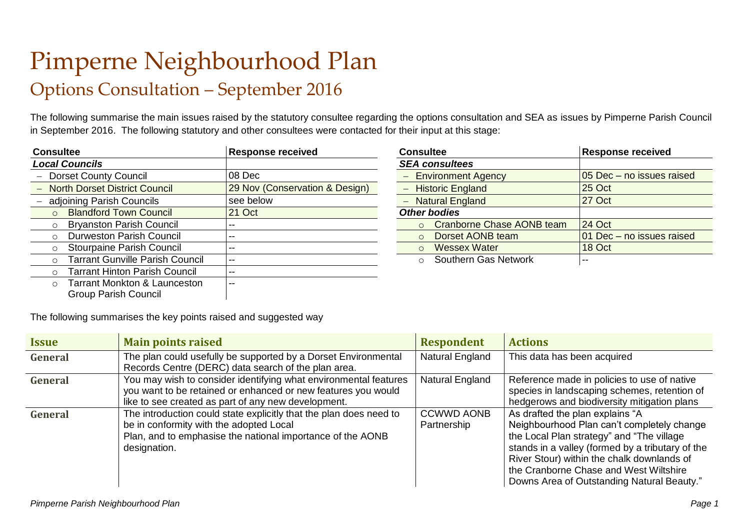## Pimperne Neighbourhood Plan Options Consultation – September 2016

The following summarise the main issues raised by the statutory consultee regarding the options consultation and SEA as issues by Pimperne Parish Council in September 2016. The following statutory and other consultees were contacted for their input at this stage:

| <b>Consultee</b>                                     | <b>Response received</b>       | <b>Consultee</b>                 | <b>Response received</b>  |
|------------------------------------------------------|--------------------------------|----------------------------------|---------------------------|
| <b>Local Councils</b>                                |                                | <b>SEA consultees</b>            |                           |
| <b>Dorset County Council</b>                         | 08 Dec                         | <b>Environment Agency</b>        | 05 Dec - no issues raised |
| <b>North Dorset District Council</b>                 | 29 Nov (Conservation & Design) | <b>Historic England</b>          | 25 Oct                    |
| adjoining Parish Councils                            | see below                      | <b>Natural England</b>           | <b>27 Oct</b>             |
| <b>Blandford Town Council</b><br>$\circ$             | 21 Oct                         | <b>Other bodies</b>              |                           |
| <b>Bryanston Parish Council</b><br>$\circ$           |                                | <b>Cranborne Chase AONB team</b> | 24 Oct                    |
| <b>Durweston Parish Council</b><br>$\circ$           |                                | Dorset AONB team                 | 01 Dec - no issues raised |
| <b>Stourpaine Parish Council</b><br>$\circ$          |                                | <b>Wessex Water</b><br>$\circ$   | 18 Oct                    |
| <b>Tarrant Gunville Parish Council</b><br>$\bigcirc$ | $- -$                          | Southern Gas Network<br>$\circ$  | --                        |
| <b>Tarrant Hinton Parish Council</b><br>$\circ$      | $- -$                          |                                  |                           |
| <b>Tarrant Monkton &amp; Launceston</b><br>$\circ$   |                                |                                  |                           |
| <b>Group Parish Council</b>                          |                                |                                  |                           |

| <b>Consultee</b>                             | <b>Response received</b>  |
|----------------------------------------------|---------------------------|
| <b>SEA consultees</b>                        |                           |
| - Environment Agency                         | 05 Dec - no issues raised |
| - Historic England                           | 25 Oct                    |
| - Natural England                            | 27 Oct                    |
| <b>Other bodies</b>                          |                           |
| <b>Cranborne Chase AONB team</b><br>$\Omega$ | 24 Oct                    |
| Dorset AONB team<br>$\bigcap$                | 01 Dec - no issues raised |
| <b>Wessex Water</b><br>$\bigcap$             | 18 Oct                    |
| <b>Southern Gas Network</b>                  |                           |

The following summarises the key points raised and suggested way

| <i><b>Issue</b></i> | <b>Main points raised</b>                                                                                                                                                                   | <b>Respondent</b>                | <b>Actions</b>                                                                                                                                                                                                                                                                                                       |
|---------------------|---------------------------------------------------------------------------------------------------------------------------------------------------------------------------------------------|----------------------------------|----------------------------------------------------------------------------------------------------------------------------------------------------------------------------------------------------------------------------------------------------------------------------------------------------------------------|
| General             | The plan could usefully be supported by a Dorset Environmental<br>Records Centre (DERC) data search of the plan area.                                                                       | Natural England                  | This data has been acquired                                                                                                                                                                                                                                                                                          |
| General             | You may wish to consider identifying what environmental features<br>you want to be retained or enhanced or new features you would<br>like to see created as part of any new development.    | Natural England                  | Reference made in policies to use of native<br>species in landscaping schemes, retention of<br>hedgerows and biodiversity mitigation plans                                                                                                                                                                           |
| <b>General</b>      | The introduction could state explicitly that the plan does need to<br>be in conformity with the adopted Local<br>Plan, and to emphasise the national importance of the AONB<br>designation. | <b>CCWWD AONB</b><br>Partnership | As drafted the plan explains "A<br>Neighbourhood Plan can't completely change<br>the Local Plan strategy" and "The village<br>stands in a valley (formed by a tributary of the<br>River Stour) within the chalk downlands of<br>the Cranborne Chase and West Wiltshire<br>Downs Area of Outstanding Natural Beauty." |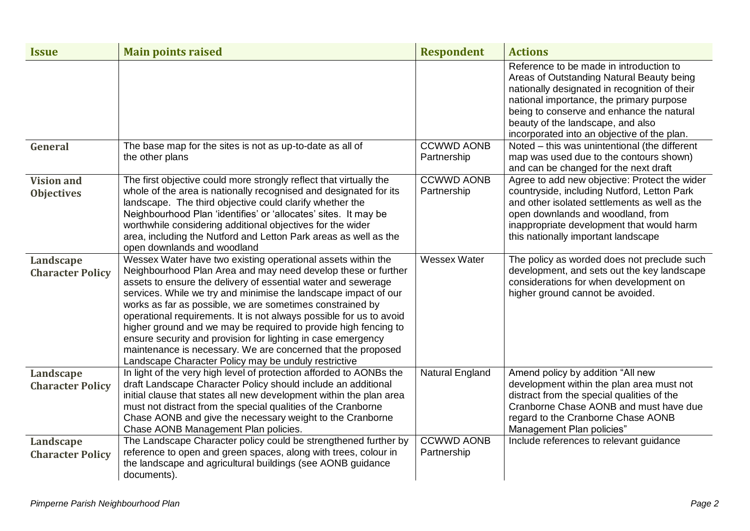| <b>Issue</b>                           | <b>Main points raised</b>                                                                                                                                                                                                                                                                                                                                                                                                                                                                                                                                                                                                                                        | <b>Respondent</b>                | <b>Actions</b>                                                                                                                                                                                                                                                                                                     |
|----------------------------------------|------------------------------------------------------------------------------------------------------------------------------------------------------------------------------------------------------------------------------------------------------------------------------------------------------------------------------------------------------------------------------------------------------------------------------------------------------------------------------------------------------------------------------------------------------------------------------------------------------------------------------------------------------------------|----------------------------------|--------------------------------------------------------------------------------------------------------------------------------------------------------------------------------------------------------------------------------------------------------------------------------------------------------------------|
|                                        |                                                                                                                                                                                                                                                                                                                                                                                                                                                                                                                                                                                                                                                                  |                                  | Reference to be made in introduction to<br>Areas of Outstanding Natural Beauty being<br>nationally designated in recognition of their<br>national importance, the primary purpose<br>being to conserve and enhance the natural<br>beauty of the landscape, and also<br>incorporated into an objective of the plan. |
| General                                | The base map for the sites is not as up-to-date as all of<br>the other plans                                                                                                                                                                                                                                                                                                                                                                                                                                                                                                                                                                                     | <b>CCWWD AONB</b><br>Partnership | Noted - this was unintentional (the different<br>map was used due to the contours shown)<br>and can be changed for the next draft                                                                                                                                                                                  |
| <b>Vision and</b><br><b>Objectives</b> | The first objective could more strongly reflect that virtually the<br>whole of the area is nationally recognised and designated for its<br>landscape. The third objective could clarify whether the<br>Neighbourhood Plan 'identifies' or 'allocates' sites. It may be<br>worthwhile considering additional objectives for the wider<br>area, including the Nutford and Letton Park areas as well as the<br>open downlands and woodland                                                                                                                                                                                                                          | <b>CCWWD AONB</b><br>Partnership | Agree to add new objective: Protect the wider<br>countryside, including Nutford, Letton Park<br>and other isolated settlements as well as the<br>open downlands and woodland, from<br>inappropriate development that would harm<br>this nationally important landscape                                             |
| Landscape<br><b>Character Policy</b>   | Wessex Water have two existing operational assets within the<br>Neighbourhood Plan Area and may need develop these or further<br>assets to ensure the delivery of essential water and sewerage<br>services. While we try and minimise the landscape impact of our<br>works as far as possible, we are sometimes constrained by<br>operational requirements. It is not always possible for us to avoid<br>higher ground and we may be required to provide high fencing to<br>ensure security and provision for lighting in case emergency<br>maintenance is necessary. We are concerned that the proposed<br>Landscape Character Policy may be unduly restrictive | <b>Wessex Water</b>              | The policy as worded does not preclude such<br>development, and sets out the key landscape<br>considerations for when development on<br>higher ground cannot be avoided.                                                                                                                                           |
| Landscape<br><b>Character Policy</b>   | In light of the very high level of protection afforded to AONBs the<br>draft Landscape Character Policy should include an additional<br>initial clause that states all new development within the plan area<br>must not distract from the special qualities of the Cranborne<br>Chase AONB and give the necessary weight to the Cranborne<br>Chase AONB Management Plan policies.                                                                                                                                                                                                                                                                                | <b>Natural England</b>           | Amend policy by addition "All new<br>development within the plan area must not<br>distract from the special qualities of the<br>Cranborne Chase AONB and must have due<br>regard to the Cranborne Chase AONB<br>Management Plan policies"                                                                          |
| Landscape<br><b>Character Policy</b>   | The Landscape Character policy could be strengthened further by<br>reference to open and green spaces, along with trees, colour in<br>the landscape and agricultural buildings (see AONB guidance<br>documents).                                                                                                                                                                                                                                                                                                                                                                                                                                                 | <b>CCWWD AONB</b><br>Partnership | Include references to relevant guidance                                                                                                                                                                                                                                                                            |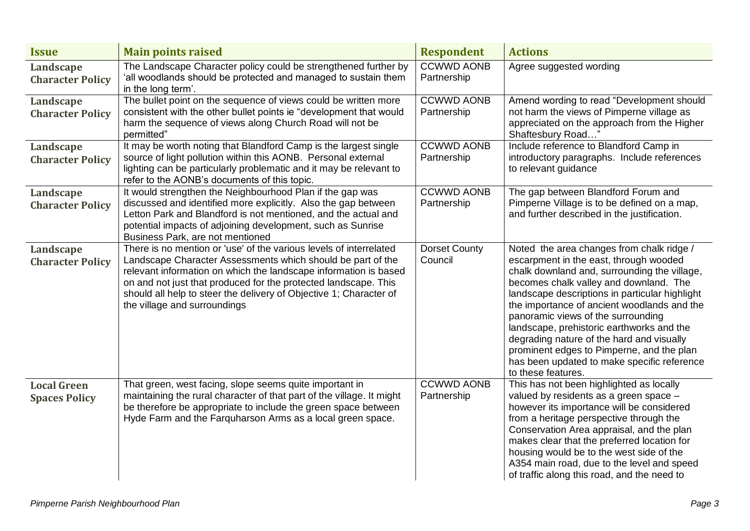| <b>Issue</b>                                | <b>Main points raised</b>                                                                                                                                                                                                                                                                                                                                                      | <b>Respondent</b>                | <b>Actions</b>                                                                                                                                                                                                                                                                                                                                                                                                                                                                                                                   |
|---------------------------------------------|--------------------------------------------------------------------------------------------------------------------------------------------------------------------------------------------------------------------------------------------------------------------------------------------------------------------------------------------------------------------------------|----------------------------------|----------------------------------------------------------------------------------------------------------------------------------------------------------------------------------------------------------------------------------------------------------------------------------------------------------------------------------------------------------------------------------------------------------------------------------------------------------------------------------------------------------------------------------|
| Landscape<br><b>Character Policy</b>        | The Landscape Character policy could be strengthened further by<br>'all woodlands should be protected and managed to sustain them<br>in the long term'.                                                                                                                                                                                                                        | <b>CCWWD AONB</b><br>Partnership | Agree suggested wording                                                                                                                                                                                                                                                                                                                                                                                                                                                                                                          |
| Landscape<br><b>Character Policy</b>        | The bullet point on the sequence of views could be written more<br>consistent with the other bullet points ie "development that would<br>harm the sequence of views along Church Road will not be<br>permitted"                                                                                                                                                                | <b>CCWWD AONB</b><br>Partnership | Amend wording to read "Development should<br>not harm the views of Pimperne village as<br>appreciated on the approach from the Higher<br>Shaftesbury Road                                                                                                                                                                                                                                                                                                                                                                        |
| Landscape<br><b>Character Policy</b>        | It may be worth noting that Blandford Camp is the largest single<br>source of light pollution within this AONB. Personal external<br>lighting can be particularly problematic and it may be relevant to<br>refer to the AONB's documents of this topic.                                                                                                                        | <b>CCWWD AONB</b><br>Partnership | Include reference to Blandford Camp in<br>introductory paragraphs. Include references<br>to relevant guidance                                                                                                                                                                                                                                                                                                                                                                                                                    |
| <b>Landscape</b><br><b>Character Policy</b> | It would strengthen the Neighbourhood Plan if the gap was<br>discussed and identified more explicitly. Also the gap between<br>Letton Park and Blandford is not mentioned, and the actual and<br>potential impacts of adjoining development, such as Sunrise<br>Business Park, are not mentioned                                                                               | <b>CCWWD AONB</b><br>Partnership | The gap between Blandford Forum and<br>Pimperne Village is to be defined on a map,<br>and further described in the justification.                                                                                                                                                                                                                                                                                                                                                                                                |
| Landscape<br><b>Character Policy</b>        | There is no mention or 'use' of the various levels of interrelated<br>Landscape Character Assessments which should be part of the<br>relevant information on which the landscape information is based<br>on and not just that produced for the protected landscape. This<br>should all help to steer the delivery of Objective 1; Character of<br>the village and surroundings | <b>Dorset County</b><br>Council  | Noted the area changes from chalk ridge /<br>escarpment in the east, through wooded<br>chalk downland and, surrounding the village,<br>becomes chalk valley and downland. The<br>landscape descriptions in particular highlight<br>the importance of ancient woodlands and the<br>panoramic views of the surrounding<br>landscape, prehistoric earthworks and the<br>degrading nature of the hard and visually<br>prominent edges to Pimperne, and the plan<br>has been updated to make specific reference<br>to these features. |
| <b>Local Green</b><br><b>Spaces Policy</b>  | That green, west facing, slope seems quite important in<br>maintaining the rural character of that part of the village. It might<br>be therefore be appropriate to include the green space between<br>Hyde Farm and the Farquharson Arms as a local green space.                                                                                                               | <b>CCWWD AONB</b><br>Partnership | This has not been highlighted as locally<br>valued by residents as a green space -<br>however its importance will be considered<br>from a heritage perspective through the<br>Conservation Area appraisal, and the plan<br>makes clear that the preferred location for<br>housing would be to the west side of the<br>A354 main road, due to the level and speed<br>of traffic along this road, and the need to                                                                                                                  |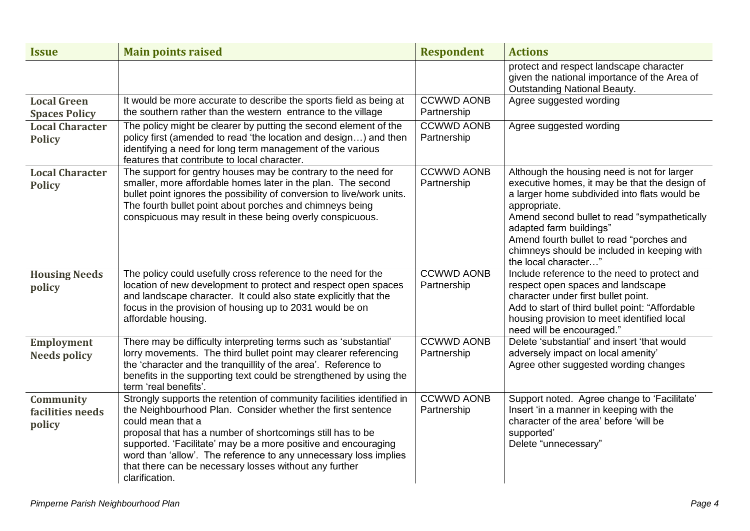| <b>Issue</b>                               | <b>Main points raised</b>                                                                                                                                                                                                                                                                                                                                                                                                                 | <b>Respondent</b>                | <b>Actions</b>                                                                                                                                                                                                                                                                                                                                             |
|--------------------------------------------|-------------------------------------------------------------------------------------------------------------------------------------------------------------------------------------------------------------------------------------------------------------------------------------------------------------------------------------------------------------------------------------------------------------------------------------------|----------------------------------|------------------------------------------------------------------------------------------------------------------------------------------------------------------------------------------------------------------------------------------------------------------------------------------------------------------------------------------------------------|
|                                            |                                                                                                                                                                                                                                                                                                                                                                                                                                           |                                  | protect and respect landscape character<br>given the national importance of the Area of<br><b>Outstanding National Beauty.</b>                                                                                                                                                                                                                             |
| <b>Local Green</b><br><b>Spaces Policy</b> | It would be more accurate to describe the sports field as being at<br>the southern rather than the western entrance to the village                                                                                                                                                                                                                                                                                                        | <b>CCWWD AONB</b><br>Partnership | Agree suggested wording                                                                                                                                                                                                                                                                                                                                    |
| <b>Local Character</b><br><b>Policy</b>    | The policy might be clearer by putting the second element of the<br>policy first (amended to read 'the location and design) and then<br>identifying a need for long term management of the various<br>features that contribute to local character.                                                                                                                                                                                        | <b>CCWWD AONB</b><br>Partnership | Agree suggested wording                                                                                                                                                                                                                                                                                                                                    |
| <b>Local Character</b><br><b>Policy</b>    | The support for gentry houses may be contrary to the need for<br>smaller, more affordable homes later in the plan. The second<br>bullet point ignores the possibility of conversion to live/work units.<br>The fourth bullet point about porches and chimneys being<br>conspicuous may result in these being overly conspicuous.                                                                                                          | <b>CCWWD AONB</b><br>Partnership | Although the housing need is not for larger<br>executive homes, it may be that the design of<br>a larger home subdivided into flats would be<br>appropriate.<br>Amend second bullet to read "sympathetically<br>adapted farm buildings"<br>Amend fourth bullet to read "porches and<br>chimneys should be included in keeping with<br>the local character" |
| <b>Housing Needs</b><br>policy             | The policy could usefully cross reference to the need for the<br>location of new development to protect and respect open spaces<br>and landscape character. It could also state explicitly that the<br>focus in the provision of housing up to 2031 would be on<br>affordable housing.                                                                                                                                                    | <b>CCWWD AONB</b><br>Partnership | Include reference to the need to protect and<br>respect open spaces and landscape<br>character under first bullet point.<br>Add to start of third bullet point: "Affordable<br>housing provision to meet identified local<br>need will be encouraged."                                                                                                     |
| <b>Employment</b><br><b>Needs policy</b>   | There may be difficulty interpreting terms such as 'substantial'<br>lorry movements. The third bullet point may clearer referencing<br>the 'character and the tranquillity of the area'. Reference to<br>benefits in the supporting text could be strengthened by using the<br>term 'real benefits'.                                                                                                                                      | <b>CCWWD AONB</b><br>Partnership | Delete 'substantial' and insert 'that would<br>adversely impact on local amenity'<br>Agree other suggested wording changes                                                                                                                                                                                                                                 |
| Community<br>facilities needs<br>policy    | Strongly supports the retention of community facilities identified in<br>the Neighbourhood Plan. Consider whether the first sentence<br>could mean that a<br>proposal that has a number of shortcomings still has to be<br>supported. 'Facilitate' may be a more positive and encouraging<br>word than 'allow'. The reference to any unnecessary loss implies<br>that there can be necessary losses without any further<br>clarification. | <b>CCWWD AONB</b><br>Partnership | Support noted. Agree change to 'Facilitate'<br>Insert 'in a manner in keeping with the<br>character of the area' before 'will be<br>supported'<br>Delete "unnecessary"                                                                                                                                                                                     |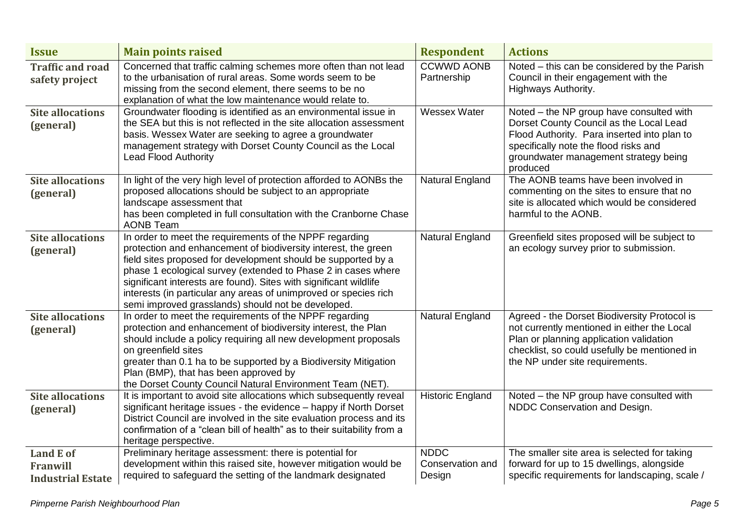| <b>Issue</b>                                             | <b>Main points raised</b>                                                                                                                                                                                                                                                                                                                                                                                                                                  | <b>Respondent</b>                         | <b>Actions</b>                                                                                                                                                                                                                   |
|----------------------------------------------------------|------------------------------------------------------------------------------------------------------------------------------------------------------------------------------------------------------------------------------------------------------------------------------------------------------------------------------------------------------------------------------------------------------------------------------------------------------------|-------------------------------------------|----------------------------------------------------------------------------------------------------------------------------------------------------------------------------------------------------------------------------------|
| <b>Traffic and road</b><br>safety project                | Concerned that traffic calming schemes more often than not lead<br>to the urbanisation of rural areas. Some words seem to be<br>missing from the second element, there seems to be no<br>explanation of what the low maintenance would relate to.                                                                                                                                                                                                          | <b>CCWWD AONB</b><br>Partnership          | Noted – this can be considered by the Parish<br>Council in their engagement with the<br>Highways Authority.                                                                                                                      |
| <b>Site allocations</b><br>(general)                     | Groundwater flooding is identified as an environmental issue in<br>the SEA but this is not reflected in the site allocation assessment<br>basis. Wessex Water are seeking to agree a groundwater<br>management strategy with Dorset County Council as the Local<br><b>Lead Flood Authority</b>                                                                                                                                                             | <b>Wessex Water</b>                       | Noted - the NP group have consulted with<br>Dorset County Council as the Local Lead<br>Flood Authority. Para inserted into plan to<br>specifically note the flood risks and<br>groundwater management strategy being<br>produced |
| <b>Site allocations</b><br>(general)                     | In light of the very high level of protection afforded to AONBs the<br>proposed allocations should be subject to an appropriate<br>landscape assessment that<br>has been completed in full consultation with the Cranborne Chase<br><b>AONB Team</b>                                                                                                                                                                                                       | <b>Natural England</b>                    | The AONB teams have been involved in<br>commenting on the sites to ensure that no<br>site is allocated which would be considered<br>harmful to the AONB.                                                                         |
| <b>Site allocations</b><br>(general)                     | In order to meet the requirements of the NPPF regarding<br>protection and enhancement of biodiversity interest, the green<br>field sites proposed for development should be supported by a<br>phase 1 ecological survey (extended to Phase 2 in cases where<br>significant interests are found). Sites with significant wildlife<br>interests (in particular any areas of unimproved or species rich<br>semi improved grasslands) should not be developed. | <b>Natural England</b>                    | Greenfield sites proposed will be subject to<br>an ecology survey prior to submission.                                                                                                                                           |
| <b>Site allocations</b><br>(general)                     | In order to meet the requirements of the NPPF regarding<br>protection and enhancement of biodiversity interest, the Plan<br>should include a policy requiring all new development proposals<br>on greenfield sites<br>greater than 0.1 ha to be supported by a Biodiversity Mitigation<br>Plan (BMP), that has been approved by<br>the Dorset County Council Natural Environment Team (NET).                                                               | Natural England                           | Agreed - the Dorset Biodiversity Protocol is<br>not currently mentioned in either the Local<br>Plan or planning application validation<br>checklist, so could usefully be mentioned in<br>the NP under site requirements.        |
| <b>Site allocations</b><br>(general)                     | It is important to avoid site allocations which subsequently reveal<br>significant heritage issues - the evidence - happy if North Dorset<br>District Council are involved in the site evaluation process and its<br>confirmation of a "clean bill of health" as to their suitability from a<br>heritage perspective.                                                                                                                                      | <b>Historic England</b>                   | Noted – the NP group have consulted with<br>NDDC Conservation and Design.                                                                                                                                                        |
| <b>Land E of</b><br>Franwill<br><b>Industrial Estate</b> | Preliminary heritage assessment: there is potential for<br>development within this raised site, however mitigation would be<br>required to safeguard the setting of the landmark designated                                                                                                                                                                                                                                                                | <b>NDDC</b><br>Conservation and<br>Design | The smaller site area is selected for taking<br>forward for up to 15 dwellings, alongside<br>specific requirements for landscaping, scale /                                                                                      |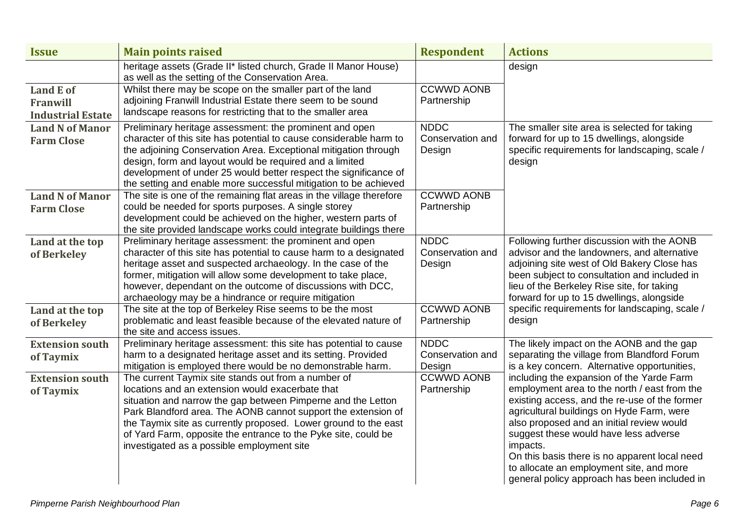| <b>Issue</b>                                      | <b>Main points raised</b>                                                                                                                                                                                                                                                                                                                                                                                                   | <b>Respondent</b>                         | <b>Actions</b>                                                                                                                                                                                                                                                                                                                                                                                                                         |
|---------------------------------------------------|-----------------------------------------------------------------------------------------------------------------------------------------------------------------------------------------------------------------------------------------------------------------------------------------------------------------------------------------------------------------------------------------------------------------------------|-------------------------------------------|----------------------------------------------------------------------------------------------------------------------------------------------------------------------------------------------------------------------------------------------------------------------------------------------------------------------------------------------------------------------------------------------------------------------------------------|
|                                                   | heritage assets (Grade II* listed church, Grade II Manor House)<br>as well as the setting of the Conservation Area.                                                                                                                                                                                                                                                                                                         |                                           | design                                                                                                                                                                                                                                                                                                                                                                                                                                 |
| Land E of<br>Franwill<br><b>Industrial Estate</b> | Whilst there may be scope on the smaller part of the land<br>adjoining Franwill Industrial Estate there seem to be sound<br>landscape reasons for restricting that to the smaller area                                                                                                                                                                                                                                      | <b>CCWWD AONB</b><br>Partnership          |                                                                                                                                                                                                                                                                                                                                                                                                                                        |
| <b>Land N of Manor</b><br><b>Farm Close</b>       | Preliminary heritage assessment: the prominent and open<br>character of this site has potential to cause considerable harm to<br>the adjoining Conservation Area. Exceptional mitigation through<br>design, form and layout would be required and a limited<br>development of under 25 would better respect the significance of<br>the setting and enable more successful mitigation to be achieved                         | <b>NDDC</b><br>Conservation and<br>Design | The smaller site area is selected for taking<br>forward for up to 15 dwellings, alongside<br>specific requirements for landscaping, scale /<br>design                                                                                                                                                                                                                                                                                  |
| <b>Land N of Manor</b><br><b>Farm Close</b>       | The site is one of the remaining flat areas in the village therefore<br>could be needed for sports purposes. A single storey<br>development could be achieved on the higher, western parts of<br>the site provided landscape works could integrate buildings there                                                                                                                                                          | <b>CCWWD AONB</b><br>Partnership          |                                                                                                                                                                                                                                                                                                                                                                                                                                        |
| Land at the top<br>of Berkeley                    | Preliminary heritage assessment: the prominent and open<br>character of this site has potential to cause harm to a designated<br>heritage asset and suspected archaeology. In the case of the<br>former, mitigation will allow some development to take place,<br>however, dependant on the outcome of discussions with DCC,<br>archaeology may be a hindrance or require mitigation                                        | <b>NDDC</b><br>Conservation and<br>Design | Following further discussion with the AONB<br>advisor and the landowners, and alternative<br>adjoining site west of Old Bakery Close has<br>been subject to consultation and included in<br>lieu of the Berkeley Rise site, for taking<br>forward for up to 15 dwellings, alongside                                                                                                                                                    |
| Land at the top<br>of Berkeley                    | The site at the top of Berkeley Rise seems to be the most<br>problematic and least feasible because of the elevated nature of<br>the site and access issues.                                                                                                                                                                                                                                                                | <b>CCWWD AONB</b><br>Partnership          | specific requirements for landscaping, scale /<br>design                                                                                                                                                                                                                                                                                                                                                                               |
| <b>Extension south</b><br>of Taymix               | Preliminary heritage assessment: this site has potential to cause<br>harm to a designated heritage asset and its setting. Provided<br>mitigation is employed there would be no demonstrable harm.                                                                                                                                                                                                                           | <b>NDDC</b><br>Conservation and<br>Design | The likely impact on the AONB and the gap<br>separating the village from Blandford Forum<br>is a key concern. Alternative opportunities,                                                                                                                                                                                                                                                                                               |
| <b>Extension south</b><br>of Taymix               | The current Taymix site stands out from a number of<br>locations and an extension would exacerbate that<br>situation and narrow the gap between Pimperne and the Letton<br>Park Blandford area. The AONB cannot support the extension of<br>the Taymix site as currently proposed. Lower ground to the east<br>of Yard Farm, opposite the entrance to the Pyke site, could be<br>investigated as a possible employment site | <b>CCWWD AONB</b><br>Partnership          | including the expansion of the Yarde Farm<br>employment area to the north / east from the<br>existing access, and the re-use of the former<br>agricultural buildings on Hyde Farm, were<br>also proposed and an initial review would<br>suggest these would have less adverse<br>impacts.<br>On this basis there is no apparent local need<br>to allocate an employment site, and more<br>general policy approach has been included in |